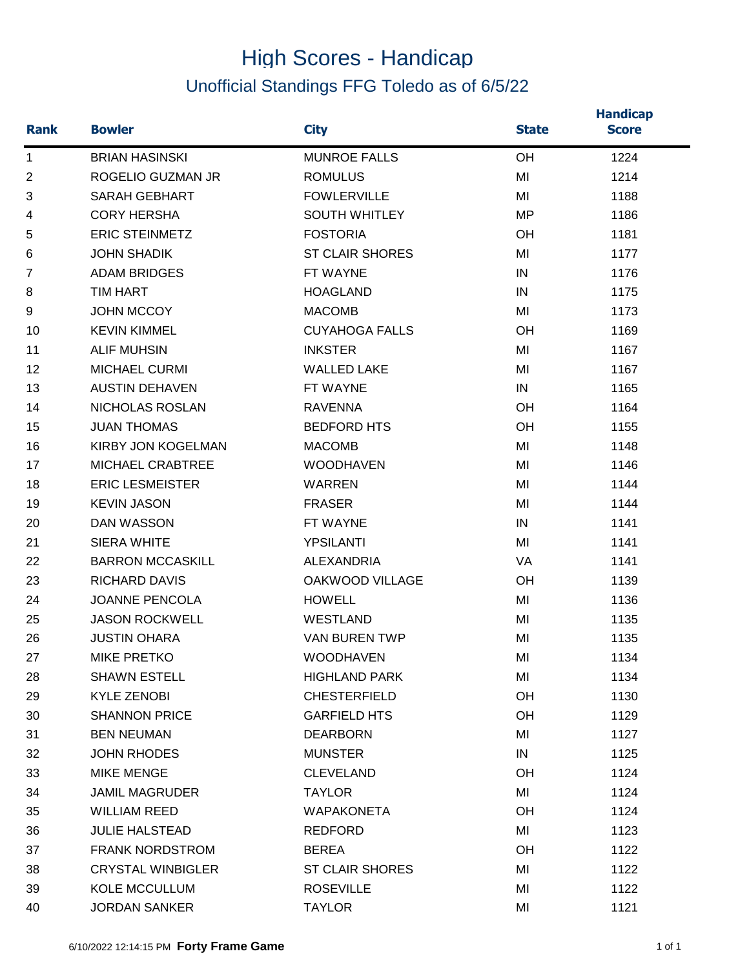## High Scores - Handicap Unofficial Standings FFG Toledo as of 6/5/22

| <b>Rank</b>    | <b>Bowler</b>             | <b>City</b>            | <b>State</b> | <b>Handicap</b><br><b>Score</b> |
|----------------|---------------------------|------------------------|--------------|---------------------------------|
| $\mathbf 1$    | <b>BRIAN HASINSKI</b>     | <b>MUNROE FALLS</b>    | OH           | 1224                            |
| $\overline{2}$ | ROGELIO GUZMAN JR         | <b>ROMULUS</b>         | MI           | 1214                            |
| 3              | <b>SARAH GEBHART</b>      | <b>FOWLERVILLE</b>     | MI           | 1188                            |
| 4              | <b>CORY HERSHA</b>        | <b>SOUTH WHITLEY</b>   | <b>MP</b>    | 1186                            |
| 5              | <b>ERIC STEINMETZ</b>     | <b>FOSTORIA</b>        | OH           | 1181                            |
| 6              | <b>JOHN SHADIK</b>        | <b>ST CLAIR SHORES</b> | MI           | 1177                            |
| $\overline{7}$ | <b>ADAM BRIDGES</b>       | FT WAYNE               | IN           | 1176                            |
| 8              | <b>TIM HART</b>           | <b>HOAGLAND</b>        | IN           | 1175                            |
| 9              | <b>JOHN MCCOY</b>         | <b>MACOMB</b>          | MI           | 1173                            |
| 10             | <b>KEVIN KIMMEL</b>       | <b>CUYAHOGA FALLS</b>  | OH           | 1169                            |
| 11             | <b>ALIF MUHSIN</b>        | <b>INKSTER</b>         | MI           | 1167                            |
| 12             | <b>MICHAEL CURMI</b>      | <b>WALLED LAKE</b>     | MI           | 1167                            |
| 13             | <b>AUSTIN DEHAVEN</b>     | FT WAYNE               | IN           | 1165                            |
| 14             | NICHOLAS ROSLAN           | <b>RAVENNA</b>         | OH           | 1164                            |
| 15             | <b>JUAN THOMAS</b>        | <b>BEDFORD HTS</b>     | OH           | 1155                            |
| 16             | <b>KIRBY JON KOGELMAN</b> | <b>MACOMB</b>          | MI           | 1148                            |
| 17             | MICHAEL CRABTREE          | <b>WOODHAVEN</b>       | MI           | 1146                            |
| 18             | <b>ERIC LESMEISTER</b>    | <b>WARREN</b>          | MI           | 1144                            |
| 19             | <b>KEVIN JASON</b>        | <b>FRASER</b>          | MI           | 1144                            |
| 20             | <b>DAN WASSON</b>         | FT WAYNE               | IN           | 1141                            |
| 21             | <b>SIERA WHITE</b>        | <b>YPSILANTI</b>       | MI           | 1141                            |
| 22             | <b>BARRON MCCASKILL</b>   | <b>ALEXANDRIA</b>      | <b>VA</b>    | 1141                            |
| 23             | <b>RICHARD DAVIS</b>      | OAKWOOD VILLAGE        | OH           | 1139                            |
| 24             | <b>JOANNE PENCOLA</b>     | <b>HOWELL</b>          | MI           | 1136                            |
| 25             | <b>JASON ROCKWELL</b>     | <b>WESTLAND</b>        | MI           | 1135                            |
| 26             | <b>JUSTIN OHARA</b>       | <b>VAN BUREN TWP</b>   | MI           | 1135                            |
| 27             | <b>MIKE PRETKO</b>        | WOODHAVEN              | MI           | 1134                            |
| 28             | <b>SHAWN ESTELL</b>       | <b>HIGHLAND PARK</b>   | MI           | 1134                            |
| 29             | <b>KYLE ZENOBI</b>        | <b>CHESTERFIELD</b>    | OH           | 1130                            |
| 30             | <b>SHANNON PRICE</b>      | <b>GARFIELD HTS</b>    | OH           | 1129                            |
| 31             | <b>BEN NEUMAN</b>         | <b>DEARBORN</b>        | MI           | 1127                            |
| 32             | <b>JOHN RHODES</b>        | <b>MUNSTER</b>         | IN           | 1125                            |
| 33             | <b>MIKE MENGE</b>         | <b>CLEVELAND</b>       | OH           | 1124                            |
| 34             | <b>JAMIL MAGRUDER</b>     | <b>TAYLOR</b>          | MI           | 1124                            |
| 35             | <b>WILLIAM REED</b>       | <b>WAPAKONETA</b>      | <b>OH</b>    | 1124                            |
| 36             | <b>JULIE HALSTEAD</b>     | <b>REDFORD</b>         | MI           | 1123                            |
| 37             | <b>FRANK NORDSTROM</b>    | <b>BEREA</b>           | OH           | 1122                            |
| 38             | <b>CRYSTAL WINBIGLER</b>  | <b>ST CLAIR SHORES</b> | MI           | 1122                            |
| 39             | KOLE MCCULLUM             | <b>ROSEVILLE</b>       | MI           | 1122                            |
| 40             | <b>JORDAN SANKER</b>      | <b>TAYLOR</b>          | MI           | 1121                            |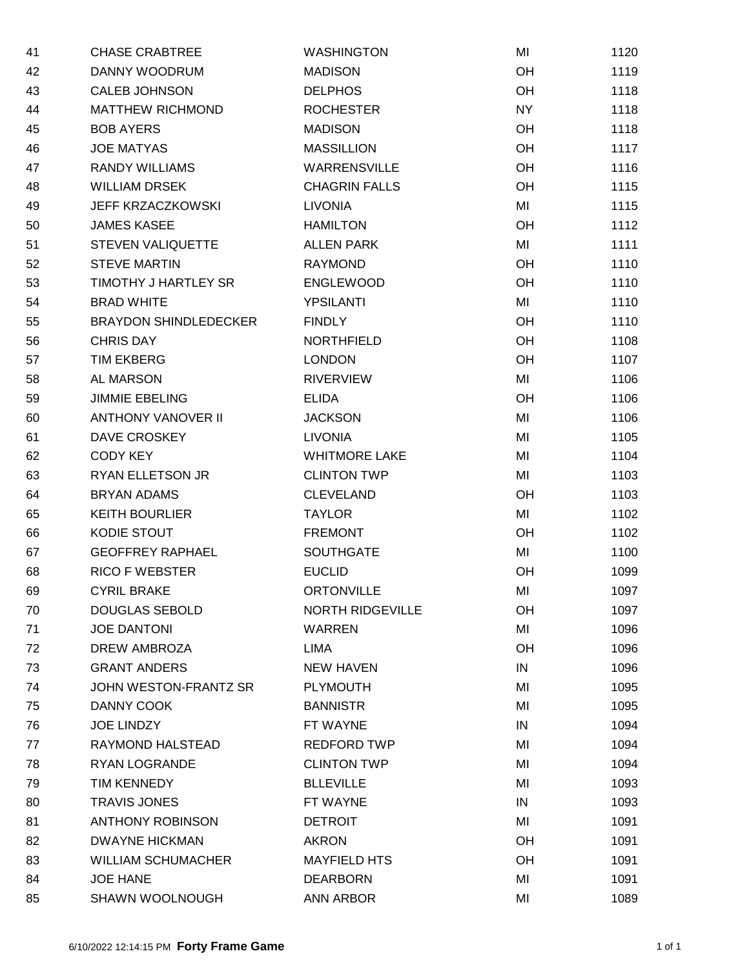| 41 | <b>CHASE CRABTREE</b>        | <b>WASHINGTON</b>       | MI        | 1120 |
|----|------------------------------|-------------------------|-----------|------|
| 42 | DANNY WOODRUM                | <b>MADISON</b>          | OH        | 1119 |
| 43 | <b>CALEB JOHNSON</b>         | <b>DELPHOS</b>          | OH        | 1118 |
| 44 | <b>MATTHEW RICHMOND</b>      | <b>ROCHESTER</b>        | <b>NY</b> | 1118 |
| 45 | <b>BOB AYERS</b>             | <b>MADISON</b>          | OH        | 1118 |
| 46 | <b>JOE MATYAS</b>            | <b>MASSILLION</b>       | OH        | 1117 |
| 47 | <b>RANDY WILLIAMS</b>        | <b>WARRENSVILLE</b>     | OH        | 1116 |
| 48 | <b>WILLIAM DRSEK</b>         | <b>CHAGRIN FALLS</b>    | OH        | 1115 |
| 49 | JEFF KRZACZKOWSKI            | <b>LIVONIA</b>          | MI        | 1115 |
| 50 | <b>JAMES KASEE</b>           | <b>HAMILTON</b>         | <b>OH</b> | 1112 |
| 51 | <b>STEVEN VALIQUETTE</b>     | <b>ALLEN PARK</b>       | MI        | 1111 |
| 52 | <b>STEVE MARTIN</b>          | <b>RAYMOND</b>          | OH        | 1110 |
| 53 | TIMOTHY J HARTLEY SR         | <b>ENGLEWOOD</b>        | OH        | 1110 |
| 54 | <b>BRAD WHITE</b>            | <b>YPSILANTI</b>        | MI        | 1110 |
| 55 | <b>BRAYDON SHINDLEDECKER</b> | <b>FINDLY</b>           | OH        | 1110 |
| 56 | <b>CHRIS DAY</b>             | <b>NORTHFIELD</b>       | OH        | 1108 |
| 57 | <b>TIM EKBERG</b>            | <b>LONDON</b>           | OH        | 1107 |
| 58 | AL MARSON                    | <b>RIVERVIEW</b>        | MI        | 1106 |
| 59 | <b>JIMMIE EBELING</b>        | <b>ELIDA</b>            | OH        | 1106 |
| 60 | <b>ANTHONY VANOVER II</b>    | <b>JACKSON</b>          | MI        | 1106 |
| 61 | DAVE CROSKEY                 | <b>LIVONIA</b>          | MI        | 1105 |
| 62 | <b>CODY KEY</b>              | <b>WHITMORE LAKE</b>    | MI        | 1104 |
| 63 | RYAN ELLETSON JR             | <b>CLINTON TWP</b>      | MI        | 1103 |
| 64 | <b>BRYAN ADAMS</b>           | <b>CLEVELAND</b>        | OH        | 1103 |
| 65 | <b>KEITH BOURLIER</b>        | <b>TAYLOR</b>           | MI        | 1102 |
| 66 | KODIE STOUT                  | <b>FREMONT</b>          | OH        | 1102 |
| 67 | <b>GEOFFREY RAPHAEL</b>      | <b>SOUTHGATE</b>        | MI        | 1100 |
| 68 | <b>RICO F WEBSTER</b>        | <b>EUCLID</b>           | OH        | 1099 |
| 69 | <b>CYRIL BRAKE</b>           | <b>ORTONVILLE</b>       | MI        | 1097 |
| 70 | <b>DOUGLAS SEBOLD</b>        | <b>NORTH RIDGEVILLE</b> | <b>OH</b> | 1097 |
| 71 | <b>JOE DANTONI</b>           | <b>WARREN</b>           | MI        | 1096 |
| 72 | DREW AMBROZA                 | LIMA                    | OH        | 1096 |
| 73 | <b>GRANT ANDERS</b>          | <b>NEW HAVEN</b>        | IN        | 1096 |
| 74 | JOHN WESTON-FRANTZ SR        | <b>PLYMOUTH</b>         | MI        | 1095 |
| 75 | DANNY COOK                   | <b>BANNISTR</b>         | MI        | 1095 |
| 76 | <b>JOE LINDZY</b>            | FT WAYNE                | IN        | 1094 |
| 77 | RAYMOND HALSTEAD             | <b>REDFORD TWP</b>      | MI        | 1094 |
| 78 | RYAN LOGRANDE                | <b>CLINTON TWP</b>      | MI        | 1094 |
| 79 | TIM KENNEDY                  | <b>BLLEVILLE</b>        | MI        | 1093 |
| 80 | <b>TRAVIS JONES</b>          | FT WAYNE                | IN        | 1093 |
| 81 | <b>ANTHONY ROBINSON</b>      | <b>DETROIT</b>          | MI        | 1091 |
| 82 | <b>DWAYNE HICKMAN</b>        | <b>AKRON</b>            | OH        | 1091 |
| 83 | <b>WILLIAM SCHUMACHER</b>    | <b>MAYFIELD HTS</b>     | OH        | 1091 |
| 84 | <b>JOE HANE</b>              | <b>DEARBORN</b>         | MI        | 1091 |
| 85 | SHAWN WOOLNOUGH              | ANN ARBOR               | MI        | 1089 |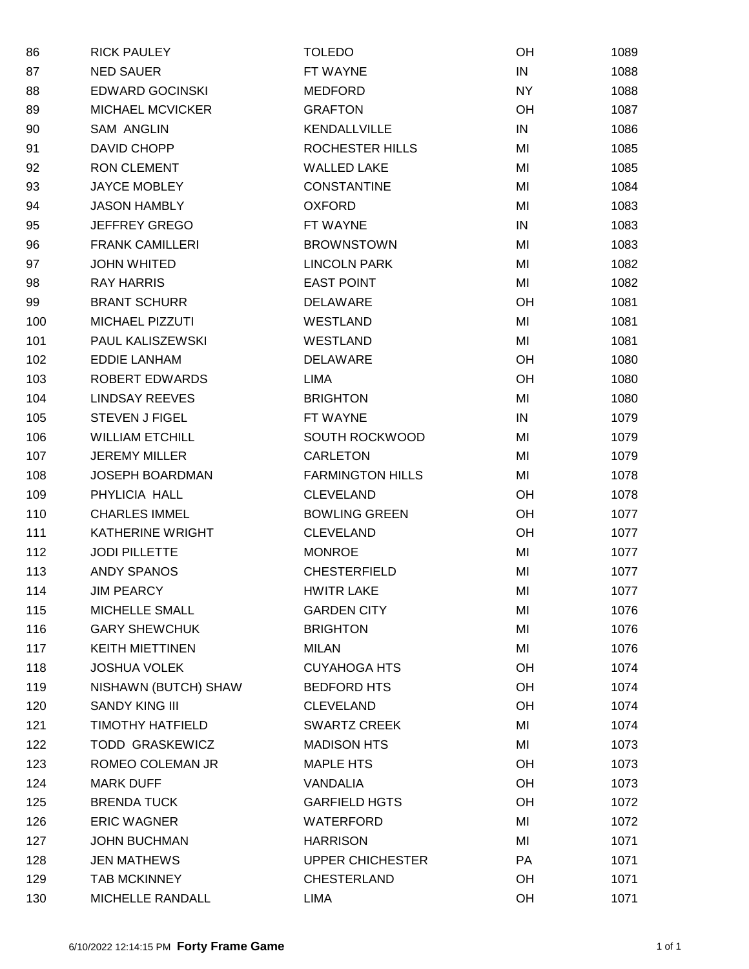| 86  | <b>RICK PAULEY</b>      | <b>TOLEDO</b>           | OH        | 1089 |
|-----|-------------------------|-------------------------|-----------|------|
| 87  | <b>NED SAUER</b>        | FT WAYNE                | IN        | 1088 |
| 88  | <b>EDWARD GOCINSKI</b>  | <b>MEDFORD</b>          | <b>NY</b> | 1088 |
| 89  | <b>MICHAEL MCVICKER</b> | <b>GRAFTON</b>          | OH        | 1087 |
| 90  | <b>SAM ANGLIN</b>       | KENDALLVILLE            | IN        | 1086 |
| 91  | DAVID CHOPP             | ROCHESTER HILLS         | MI        | 1085 |
| 92  | <b>RON CLEMENT</b>      | <b>WALLED LAKE</b>      | MI        | 1085 |
| 93  | <b>JAYCE MOBLEY</b>     | <b>CONSTANTINE</b>      | MI        | 1084 |
| 94  | <b>JASON HAMBLY</b>     | <b>OXFORD</b>           | MI        | 1083 |
| 95  | <b>JEFFREY GREGO</b>    | FT WAYNE                | IN        | 1083 |
| 96  | <b>FRANK CAMILLERI</b>  | <b>BROWNSTOWN</b>       | MI        | 1083 |
| 97  | <b>JOHN WHITED</b>      | <b>LINCOLN PARK</b>     | MI        | 1082 |
| 98  | <b>RAY HARRIS</b>       | <b>EAST POINT</b>       | MI        | 1082 |
| 99  | <b>BRANT SCHURR</b>     | <b>DELAWARE</b>         | OH        | 1081 |
| 100 | MICHAEL PIZZUTI         | <b>WESTLAND</b>         | MI        | 1081 |
| 101 | PAUL KALISZEWSKI        | <b>WESTLAND</b>         | MI        | 1081 |
| 102 | <b>EDDIE LANHAM</b>     | <b>DELAWARE</b>         | OH        | 1080 |
| 103 | ROBERT EDWARDS          | LIMA                    | OH        | 1080 |
| 104 | <b>LINDSAY REEVES</b>   | <b>BRIGHTON</b>         | MI        | 1080 |
| 105 | <b>STEVEN J FIGEL</b>   | FT WAYNE                | IN        | 1079 |
| 106 | <b>WILLIAM ETCHILL</b>  | SOUTH ROCKWOOD          | MI        | 1079 |
| 107 | <b>JEREMY MILLER</b>    | <b>CARLETON</b>         | MI        | 1079 |
| 108 | JOSEPH BOARDMAN         | <b>FARMINGTON HILLS</b> | MI        | 1078 |
| 109 | PHYLICIA HALL           | <b>CLEVELAND</b>        | OH        | 1078 |
| 110 | <b>CHARLES IMMEL</b>    | <b>BOWLING GREEN</b>    | OH        | 1077 |
| 111 | KATHERINE WRIGHT        | <b>CLEVELAND</b>        | OH        | 1077 |
| 112 | <b>JODI PILLETTE</b>    | <b>MONROE</b>           | MI        | 1077 |
| 113 | <b>ANDY SPANOS</b>      | <b>CHESTERFIELD</b>     | MI        | 1077 |
| 114 | <b>JIM PEARCY</b>       | <b>HWITR LAKE</b>       | MI        | 1077 |
| 115 | MICHELLE SMALL          | <b>GARDEN CITY</b>      | MI        | 1076 |
| 116 | <b>GARY SHEWCHUK</b>    | <b>BRIGHTON</b>         | MI        | 1076 |
| 117 | <b>KEITH MIETTINEN</b>  | <b>MILAN</b>            | MI        | 1076 |
| 118 | <b>JOSHUA VOLEK</b>     | <b>CUYAHOGA HTS</b>     | OH        | 1074 |
| 119 | NISHAWN (BUTCH) SHAW    | <b>BEDFORD HTS</b>      | OH        | 1074 |
| 120 | <b>SANDY KING III</b>   | <b>CLEVELAND</b>        | OH        | 1074 |
| 121 | <b>TIMOTHY HATFIELD</b> | <b>SWARTZ CREEK</b>     | MI        | 1074 |
| 122 | <b>TODD GRASKEWICZ</b>  | <b>MADISON HTS</b>      | MI        | 1073 |
| 123 | ROMEO COLEMAN JR        | <b>MAPLE HTS</b>        | OH        | 1073 |
| 124 | <b>MARK DUFF</b>        | VANDALIA                | OH        | 1073 |
| 125 | <b>BRENDA TUCK</b>      | <b>GARFIELD HGTS</b>    | OH        | 1072 |
| 126 | <b>ERIC WAGNER</b>      | WATERFORD               | MI        | 1072 |
| 127 | <b>JOHN BUCHMAN</b>     | <b>HARRISON</b>         | MI        | 1071 |
| 128 | <b>JEN MATHEWS</b>      | <b>UPPER CHICHESTER</b> | PA        | 1071 |
| 129 | TAB MCKINNEY            | CHESTERLAND             | OH        | 1071 |
| 130 | MICHELLE RANDALL        | LIMA                    | OH        | 1071 |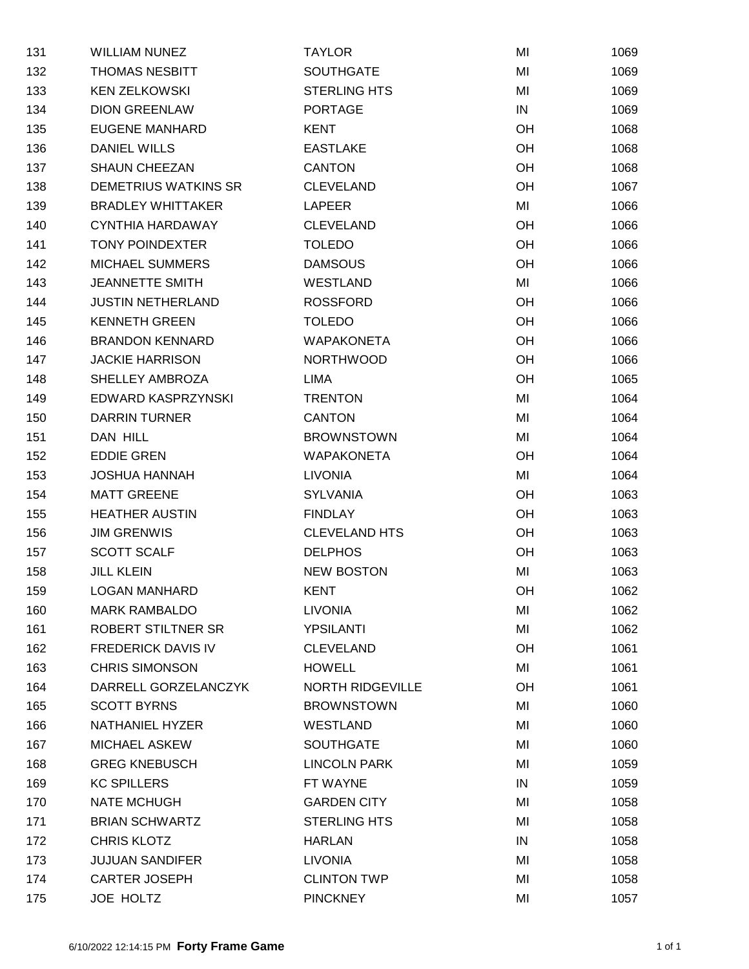| 131 | <b>WILLIAM NUNEZ</b>        | <b>TAYLOR</b>           | MI        | 1069 |
|-----|-----------------------------|-------------------------|-----------|------|
| 132 | <b>THOMAS NESBITT</b>       | <b>SOUTHGATE</b>        | MI        | 1069 |
| 133 | <b>KEN ZELKOWSKI</b>        | <b>STERLING HTS</b>     | MI        | 1069 |
| 134 | <b>DION GREENLAW</b>        | <b>PORTAGE</b>          | IN        | 1069 |
| 135 | <b>EUGENE MANHARD</b>       | <b>KENT</b>             | <b>OH</b> | 1068 |
| 136 | <b>DANIEL WILLS</b>         | <b>EASTLAKE</b>         | <b>OH</b> | 1068 |
| 137 | <b>SHAUN CHEEZAN</b>        | <b>CANTON</b>           | OH        | 1068 |
| 138 | <b>DEMETRIUS WATKINS SR</b> | <b>CLEVELAND</b>        | <b>OH</b> | 1067 |
| 139 | <b>BRADLEY WHITTAKER</b>    | <b>LAPEER</b>           | MI        | 1066 |
| 140 | <b>CYNTHIA HARDAWAY</b>     | <b>CLEVELAND</b>        | <b>OH</b> | 1066 |
| 141 | <b>TONY POINDEXTER</b>      | <b>TOLEDO</b>           | OH        | 1066 |
| 142 | <b>MICHAEL SUMMERS</b>      | <b>DAMSOUS</b>          | <b>OH</b> | 1066 |
| 143 | <b>JEANNETTE SMITH</b>      | <b>WESTLAND</b>         | MI        | 1066 |
| 144 | <b>JUSTIN NETHERLAND</b>    | <b>ROSSFORD</b>         | <b>OH</b> | 1066 |
| 145 | <b>KENNETH GREEN</b>        | <b>TOLEDO</b>           | OH        | 1066 |
| 146 | <b>BRANDON KENNARD</b>      | <b>WAPAKONETA</b>       | <b>OH</b> | 1066 |
| 147 | <b>JACKIE HARRISON</b>      | <b>NORTHWOOD</b>        | <b>OH</b> | 1066 |
| 148 | SHELLEY AMBROZA             | LIMA                    | <b>OH</b> | 1065 |
| 149 | EDWARD KASPRZYNSKI          | <b>TRENTON</b>          | MI        | 1064 |
| 150 | <b>DARRIN TURNER</b>        | <b>CANTON</b>           | MI        | 1064 |
| 151 | DAN HILL                    | <b>BROWNSTOWN</b>       | MI        | 1064 |
| 152 | <b>EDDIE GREN</b>           | <b>WAPAKONETA</b>       | <b>OH</b> | 1064 |
| 153 | <b>JOSHUA HANNAH</b>        | <b>LIVONIA</b>          | MI        | 1064 |
| 154 | <b>MATT GREENE</b>          | <b>SYLVANIA</b>         | OH        | 1063 |
| 155 | <b>HEATHER AUSTIN</b>       | <b>FINDLAY</b>          | OH        | 1063 |
| 156 | <b>JIM GRENWIS</b>          | <b>CLEVELAND HTS</b>    | OH        | 1063 |
| 157 | <b>SCOTT SCALF</b>          | <b>DELPHOS</b>          | OH        | 1063 |
| 158 | <b>JILL KLEIN</b>           | <b>NEW BOSTON</b>       | MI        | 1063 |
| 159 | LOGAN MANHARD               | KENT                    | <b>OH</b> | 1062 |
| 160 | MARK RAMBALDO               | <b>LIVONIA</b>          | MI        | 1062 |
| 161 | ROBERT STILTNER SR          | <b>YPSILANTI</b>        | MI        | 1062 |
| 162 | <b>FREDERICK DAVIS IV</b>   | <b>CLEVELAND</b>        | OH        | 1061 |
| 163 | <b>CHRIS SIMONSON</b>       | <b>HOWELL</b>           | MI        | 1061 |
| 164 | DARRELL GORZELANCZYK        | <b>NORTH RIDGEVILLE</b> | OH        | 1061 |
| 165 | <b>SCOTT BYRNS</b>          | <b>BROWNSTOWN</b>       | MI        | 1060 |
| 166 | NATHANIEL HYZER             | WESTLAND                | MI        | 1060 |
| 167 | <b>MICHAEL ASKEW</b>        | <b>SOUTHGATE</b>        | MI        | 1060 |
| 168 | <b>GREG KNEBUSCH</b>        | <b>LINCOLN PARK</b>     | MI        | 1059 |
| 169 | <b>KC SPILLERS</b>          | FT WAYNE                | IN        | 1059 |
| 170 | NATE MCHUGH                 | <b>GARDEN CITY</b>      | MI        | 1058 |
| 171 | <b>BRIAN SCHWARTZ</b>       | <b>STERLING HTS</b>     | MI        | 1058 |
| 172 | <b>CHRIS KLOTZ</b>          | <b>HARLAN</b>           | IN        | 1058 |
| 173 | <b>JUJUAN SANDIFER</b>      | LIVONIA                 | MI        | 1058 |
| 174 | CARTER JOSEPH               | <b>CLINTON TWP</b>      | MI        | 1058 |
| 175 | JOE HOLTZ                   | <b>PINCKNEY</b>         | MI        | 1057 |